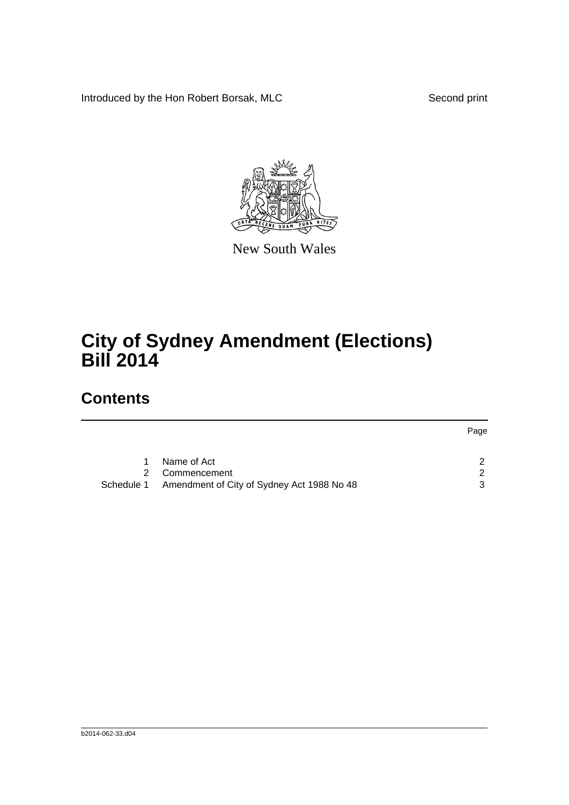Introduced by the Hon Robert Borsak, MLC Second print



New South Wales

# **City of Sydney Amendment (Elections) Bill 2014**

### **Contents**

|            |                                            | Page          |
|------------|--------------------------------------------|---------------|
|            |                                            |               |
|            | Name of Act                                | ົ             |
|            | Commencement                               | $\mathcal{P}$ |
| Schedule 1 | Amendment of City of Sydney Act 1988 No 48 | ર             |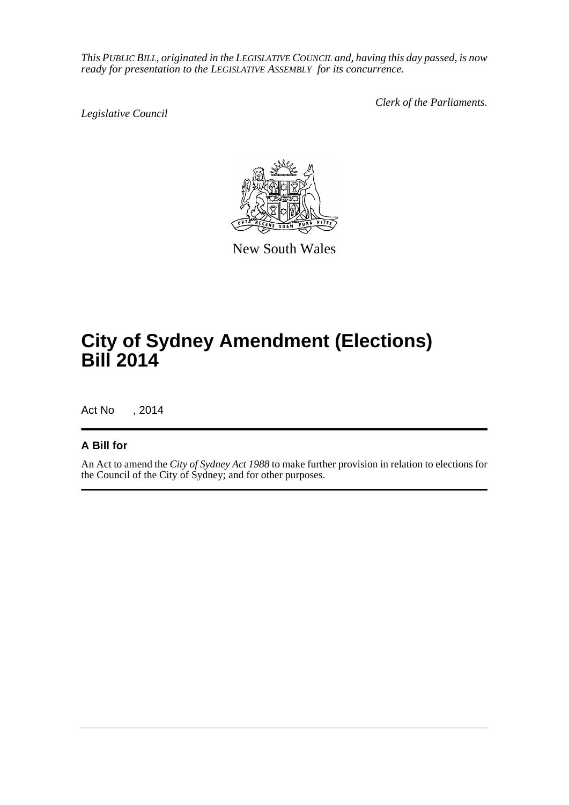*This PUBLIC BILL, originated in the LEGISLATIVE COUNCIL and, having this day passed, is now ready for presentation to the LEGISLATIVE ASSEMBLY for its concurrence.*

*Legislative Council*

*Clerk of the Parliaments.*



New South Wales

# **City of Sydney Amendment (Elections) Bill 2014**

Act No , 2014

### **A Bill for**

An Act to amend the *City of Sydney Act 1988* to make further provision in relation to elections for the Council of the City of Sydney; and for other purposes.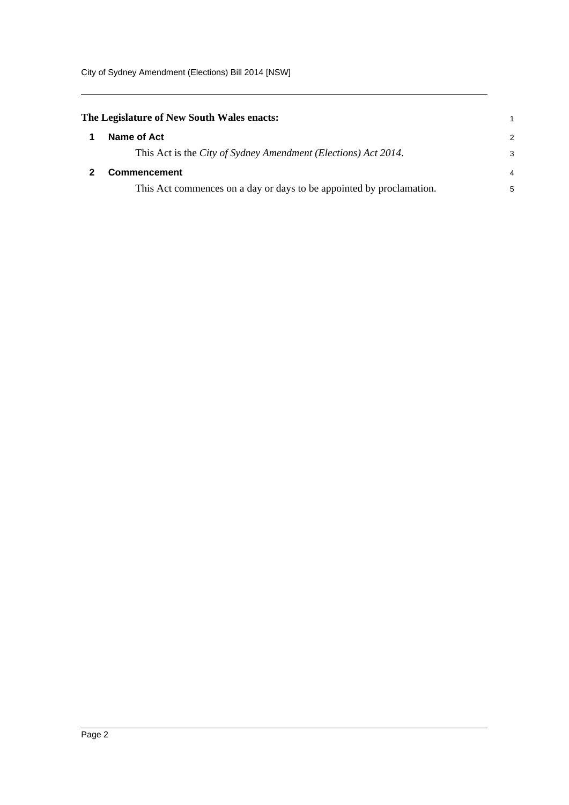<span id="page-2-1"></span><span id="page-2-0"></span>

| The Legislature of New South Wales enacts:                           |               |
|----------------------------------------------------------------------|---------------|
| Name of Act                                                          | $\mathcal{P}$ |
| This Act is the City of Sydney Amendment (Elections) Act 2014.       | 3             |
| <b>Commencement</b>                                                  | 4             |
| This Act commences on a day or days to be appointed by proclamation. | 5             |
|                                                                      |               |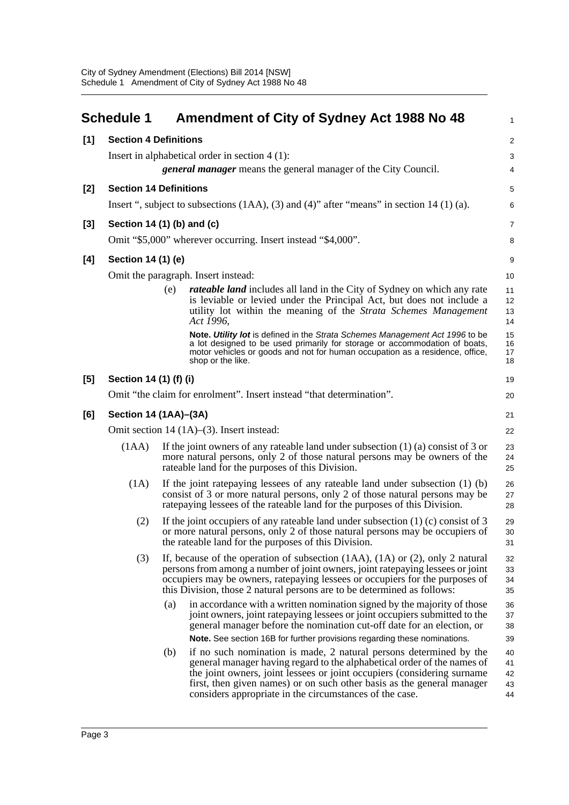|       | <b>Schedule 1</b>                                                     |            | Amendment of City of Sydney Act 1988 No 48                                                                                                                                                                                                                                                                                                                                                                                                                                                                                                                                                                         | $\mathbf{1}$                                 |  |
|-------|-----------------------------------------------------------------------|------------|--------------------------------------------------------------------------------------------------------------------------------------------------------------------------------------------------------------------------------------------------------------------------------------------------------------------------------------------------------------------------------------------------------------------------------------------------------------------------------------------------------------------------------------------------------------------------------------------------------------------|----------------------------------------------|--|
| [1]   | <b>Section 4 Definitions</b>                                          |            |                                                                                                                                                                                                                                                                                                                                                                                                                                                                                                                                                                                                                    | $\overline{2}$                               |  |
|       |                                                                       |            | Insert in alphabetical order in section $4(1)$ :                                                                                                                                                                                                                                                                                                                                                                                                                                                                                                                                                                   | 3                                            |  |
|       | <i>general manager</i> means the general manager of the City Council. |            |                                                                                                                                                                                                                                                                                                                                                                                                                                                                                                                                                                                                                    |                                              |  |
| $[2]$ | <b>Section 14 Definitions</b>                                         |            |                                                                                                                                                                                                                                                                                                                                                                                                                                                                                                                                                                                                                    | 5                                            |  |
|       |                                                                       |            | Insert ", subject to subsections $(1AA)$ , $(3)$ and $(4)$ " after "means" in section 14 $(1)$ (a).                                                                                                                                                                                                                                                                                                                                                                                                                                                                                                                | 6                                            |  |
| $[3]$ | Section 14 (1) (b) and (c)                                            |            |                                                                                                                                                                                                                                                                                                                                                                                                                                                                                                                                                                                                                    | $\overline{7}$                               |  |
|       |                                                                       |            | Omit "\$5,000" wherever occurring. Insert instead "\$4,000".                                                                                                                                                                                                                                                                                                                                                                                                                                                                                                                                                       | 8                                            |  |
| [4]   | Section 14 (1) (e)                                                    |            |                                                                                                                                                                                                                                                                                                                                                                                                                                                                                                                                                                                                                    | 9                                            |  |
|       |                                                                       |            | Omit the paragraph. Insert instead:                                                                                                                                                                                                                                                                                                                                                                                                                                                                                                                                                                                | 10                                           |  |
|       |                                                                       | (e)        | <i>rateable land</i> includes all land in the City of Sydney on which any rate<br>is leviable or levied under the Principal Act, but does not include a<br>utility lot within the meaning of the Strata Schemes Management<br>Act 1996,                                                                                                                                                                                                                                                                                                                                                                            | 11<br>12<br>13<br>14                         |  |
|       |                                                                       |            | Note. Utility lot is defined in the Strata Schemes Management Act 1996 to be<br>a lot designed to be used primarily for storage or accommodation of boats,<br>motor vehicles or goods and not for human occupation as a residence, office,<br>shop or the like.                                                                                                                                                                                                                                                                                                                                                    | 15<br>16<br>17<br>18                         |  |
| [5]   | Section 14 (1) (f) (i)                                                |            |                                                                                                                                                                                                                                                                                                                                                                                                                                                                                                                                                                                                                    | 19                                           |  |
|       |                                                                       |            | Omit "the claim for enrolment". Insert instead "that determination".                                                                                                                                                                                                                                                                                                                                                                                                                                                                                                                                               | 20                                           |  |
| [6]   | Section 14 (1AA)-(3A)                                                 |            |                                                                                                                                                                                                                                                                                                                                                                                                                                                                                                                                                                                                                    | 21                                           |  |
|       |                                                                       |            | Omit section $14 (1A)–(3)$ . Insert instead:                                                                                                                                                                                                                                                                                                                                                                                                                                                                                                                                                                       | 22                                           |  |
|       | (1AA)                                                                 |            | If the joint owners of any rateable land under subsection $(1)$ $(a)$ consist of 3 or<br>more natural persons, only 2 of those natural persons may be owners of the<br>rateable land for the purposes of this Division.                                                                                                                                                                                                                                                                                                                                                                                            | 23<br>24<br>25                               |  |
|       | (1A)                                                                  |            | If the joint rate paying lessees of any rateable land under subsection $(1)$ (b)<br>consist of 3 or more natural persons, only 2 of those natural persons may be<br>rate paying lessees of the rateable land for the purposes of this Division.                                                                                                                                                                                                                                                                                                                                                                    | 26<br>27<br>28                               |  |
|       | (2)                                                                   |            | If the joint occupiers of any rateable land under subsection $(1)$ (c) consist of 3<br>or more natural persons, only 2 of those natural persons may be occupiers of<br>the rateable land for the purposes of this Division.                                                                                                                                                                                                                                                                                                                                                                                        | 29<br>30<br>31                               |  |
|       | (3)                                                                   |            | If, because of the operation of subsection $(1AA)$ , $(1A)$ or $(2)$ , only 2 natural<br>persons from among a number of joint owners, joint ratepaying lessees or joint<br>occupiers may be owners, ratepaying lessees or occupiers for the purposes of<br>this Division, those 2 natural persons are to be determined as follows:                                                                                                                                                                                                                                                                                 | 32<br>33<br>34<br>35                         |  |
|       |                                                                       | (a)<br>(b) | in accordance with a written nomination signed by the majority of those<br>joint owners, joint ratepaying lessees or joint occupiers submitted to the<br>general manager before the nomination cut-off date for an election, or<br>Note. See section 16B for further provisions regarding these nominations.<br>if no such nomination is made, 2 natural persons determined by the<br>general manager having regard to the alphabetical order of the names of<br>the joint owners, joint lessees or joint occupiers (considering surname<br>first, then given names) or on such other basis as the general manager | 36<br>37<br>38<br>39<br>40<br>41<br>42<br>43 |  |
|       |                                                                       |            | considers appropriate in the circumstances of the case.                                                                                                                                                                                                                                                                                                                                                                                                                                                                                                                                                            | 44                                           |  |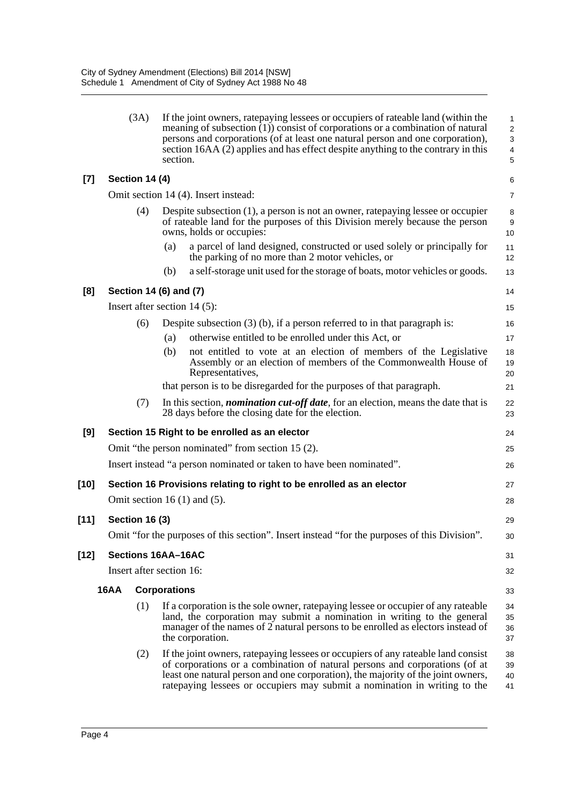|        |             | (3A)                  | If the joint owners, ratepaying lessees or occupiers of rateable land (within the<br>meaning of subsection $(1)$ ) consist of corporations or a combination of natural<br>persons and corporations (of at least one natural person and one corporation),<br>section $16AA(2)$ applies and has effect despite anything to the contrary in this<br>section. | 1<br>$\overline{2}$<br>$\mathsf 3$<br>$\overline{4}$<br>5 |
|--------|-------------|-----------------------|-----------------------------------------------------------------------------------------------------------------------------------------------------------------------------------------------------------------------------------------------------------------------------------------------------------------------------------------------------------|-----------------------------------------------------------|
| $[7]$  |             | Section 14 (4)        |                                                                                                                                                                                                                                                                                                                                                           | 6                                                         |
|        |             |                       | Omit section 14 (4). Insert instead:                                                                                                                                                                                                                                                                                                                      | $\overline{7}$                                            |
|        |             | (4)                   | Despite subsection (1), a person is not an owner, ratepaying lessee or occupier<br>of rateable land for the purposes of this Division merely because the person<br>owns, holds or occupies:                                                                                                                                                               | 8<br>$\boldsymbol{9}$<br>10                               |
|        |             |                       | a parcel of land designed, constructed or used solely or principally for<br>(a)<br>the parking of no more than 2 motor vehicles, or                                                                                                                                                                                                                       | 11<br>12                                                  |
|        |             |                       | a self-storage unit used for the storage of boats, motor vehicles or goods.<br>(b)                                                                                                                                                                                                                                                                        | 13                                                        |
| [8]    |             |                       | Section 14 (6) and (7)                                                                                                                                                                                                                                                                                                                                    | 14                                                        |
|        |             |                       | Insert after section $14(5)$ :                                                                                                                                                                                                                                                                                                                            | 15                                                        |
|        |             | (6)                   | Despite subsection $(3)$ (b), if a person referred to in that paragraph is:                                                                                                                                                                                                                                                                               | 16                                                        |
|        |             |                       | otherwise entitled to be enrolled under this Act, or<br>(a)                                                                                                                                                                                                                                                                                               | 17                                                        |
|        |             |                       | (b)<br>not entitled to vote at an election of members of the Legislative<br>Assembly or an election of members of the Commonwealth House of<br>Representatives,                                                                                                                                                                                           | 18<br>19<br>20                                            |
|        |             |                       | that person is to be disregarded for the purposes of that paragraph.                                                                                                                                                                                                                                                                                      | 21                                                        |
|        |             | (7)                   | In this section, <i>nomination cut-off date</i> , for an election, means the date that is<br>28 days before the closing date for the election.                                                                                                                                                                                                            | 22<br>23                                                  |
| [9]    |             |                       | Section 15 Right to be enrolled as an elector                                                                                                                                                                                                                                                                                                             | 24                                                        |
|        |             |                       | Omit "the person nominated" from section 15 (2).                                                                                                                                                                                                                                                                                                          | 25                                                        |
|        |             |                       | Insert instead "a person nominated or taken to have been nominated".                                                                                                                                                                                                                                                                                      | 26                                                        |
| [10]   |             |                       | Section 16 Provisions relating to right to be enrolled as an elector                                                                                                                                                                                                                                                                                      | 27                                                        |
|        |             |                       | Omit section 16 $(1)$ and $(5)$ .                                                                                                                                                                                                                                                                                                                         | 28                                                        |
| $[11]$ |             | <b>Section 16 (3)</b> |                                                                                                                                                                                                                                                                                                                                                           | 29                                                        |
|        |             |                       | Omit "for the purposes of this section". Insert instead "for the purposes of this Division".                                                                                                                                                                                                                                                              | 30                                                        |
| [12]   |             |                       | <b>Sections 16AA-16AC</b>                                                                                                                                                                                                                                                                                                                                 | 31                                                        |
|        |             |                       | Insert after section 16:                                                                                                                                                                                                                                                                                                                                  | 32                                                        |
|        | <b>16AA</b> |                       | <b>Corporations</b>                                                                                                                                                                                                                                                                                                                                       | 33                                                        |
|        |             | (1)                   | If a corporation is the sole owner, rate paying lessee or occupier of any rateable<br>land, the corporation may submit a nomination in writing to the general<br>manager of the names of 2 natural persons to be enrolled as electors instead of<br>the corporation.                                                                                      | 34<br>35<br>36<br>37                                      |
|        |             | (2)                   | If the joint owners, ratepaying lessees or occupiers of any rateable land consist<br>of corporations or a combination of natural persons and corporations (of at<br>least one natural person and one corporation), the majority of the joint owners,<br>ratepaying lessees or occupiers may submit a nomination in writing to the                         | 38<br>39<br>40<br>41                                      |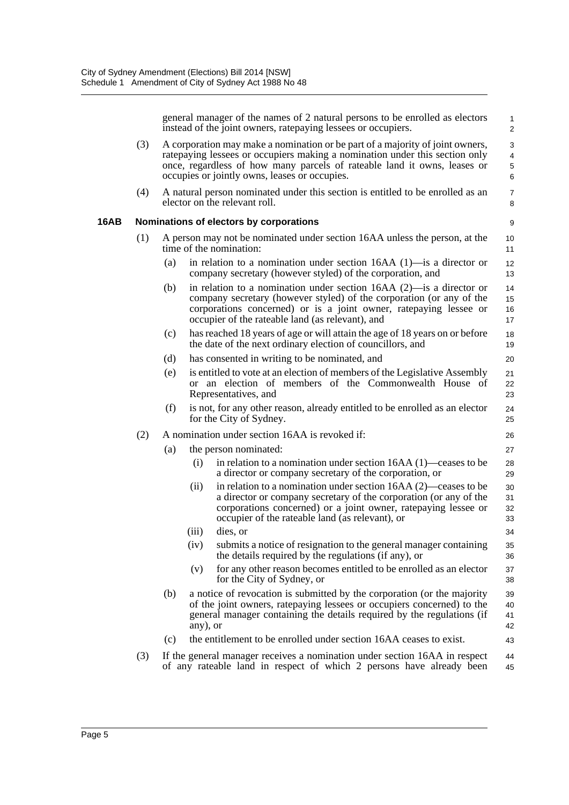**16AB** 

general manager of the names of 2 natural persons to be enrolled as electors instead of the joint owners, ratepaying lessees or occupiers.

1

|     |     |                                                                                                                                                                                                                                                                                           | instead of the joint owners, ratepaying lessees or occupiers.                                                                                                                                                                                                          | $\overline{c}$       |  |  |
|-----|-----|-------------------------------------------------------------------------------------------------------------------------------------------------------------------------------------------------------------------------------------------------------------------------------------------|------------------------------------------------------------------------------------------------------------------------------------------------------------------------------------------------------------------------------------------------------------------------|----------------------|--|--|
| (3) |     | A corporation may make a nomination or be part of a majority of joint owners,<br>ratepaying lessees or occupiers making a nomination under this section only<br>once, regardless of how many parcels of rateable land it owns, leases or<br>occupies or jointly owns, leases or occupies. |                                                                                                                                                                                                                                                                        |                      |  |  |
| (4) |     | A natural person nominated under this section is entitled to be enrolled as an<br>elector on the relevant roll.                                                                                                                                                                           |                                                                                                                                                                                                                                                                        |                      |  |  |
|     |     |                                                                                                                                                                                                                                                                                           | Nominations of electors by corporations                                                                                                                                                                                                                                | 9                    |  |  |
| (1) |     |                                                                                                                                                                                                                                                                                           | A person may not be nominated under section 16AA unless the person, at the<br>time of the nomination:                                                                                                                                                                  | 10<br>11             |  |  |
|     | (a) |                                                                                                                                                                                                                                                                                           | in relation to a nomination under section $16AA(1)$ —is a director or<br>company secretary (however styled) of the corporation, and                                                                                                                                    | 12<br>13             |  |  |
|     | (b) |                                                                                                                                                                                                                                                                                           | in relation to a nomination under section $16AA$ (2)—is a director or<br>company secretary (however styled) of the corporation (or any of the<br>corporations concerned) or is a joint owner, ratepaying lessee or<br>occupier of the rateable land (as relevant), and | 14<br>15<br>16<br>17 |  |  |
|     | (c) |                                                                                                                                                                                                                                                                                           | has reached 18 years of age or will attain the age of 18 years on or before<br>the date of the next ordinary election of councillors, and                                                                                                                              | 18<br>19             |  |  |
|     | (d) |                                                                                                                                                                                                                                                                                           | has consented in writing to be nominated, and                                                                                                                                                                                                                          | 20                   |  |  |
|     | (e) |                                                                                                                                                                                                                                                                                           | is entitled to vote at an election of members of the Legislative Assembly<br>or an election of members of the Commonwealth House of<br>Representatives, and                                                                                                            | 21<br>22<br>23       |  |  |
|     | (f) |                                                                                                                                                                                                                                                                                           | is not, for any other reason, already entitled to be enrolled as an elector<br>for the City of Sydney.                                                                                                                                                                 | 24<br>25             |  |  |
| (2) |     |                                                                                                                                                                                                                                                                                           | A nomination under section 16AA is revoked if:                                                                                                                                                                                                                         | 26                   |  |  |
|     | (a) |                                                                                                                                                                                                                                                                                           | the person nominated:                                                                                                                                                                                                                                                  | 27                   |  |  |
|     |     | (i)                                                                                                                                                                                                                                                                                       | in relation to a nomination under section $16AA(1)$ —ceases to be<br>a director or company secretary of the corporation, or                                                                                                                                            | 28<br>29             |  |  |
|     |     | (ii)                                                                                                                                                                                                                                                                                      | in relation to a nomination under section $16AA(2)$ —ceases to be<br>a director or company secretary of the corporation (or any of the<br>corporations concerned) or a joint owner, ratepaying lessee or<br>occupier of the rateable land (as relevant), or            | 30<br>31<br>32<br>33 |  |  |
|     |     | (iii)                                                                                                                                                                                                                                                                                     | dies, or                                                                                                                                                                                                                                                               | 34                   |  |  |
|     |     | (iv)                                                                                                                                                                                                                                                                                      | submits a notice of resignation to the general manager containing<br>the details required by the regulations (if any), or                                                                                                                                              | 35<br>36             |  |  |
|     |     | (v)                                                                                                                                                                                                                                                                                       | for any other reason becomes entitled to be enrolled as an elector<br>for the City of Sydney, or                                                                                                                                                                       | 37<br>38             |  |  |
|     | (b) | any), or                                                                                                                                                                                                                                                                                  | a notice of revocation is submitted by the corporation (or the majority<br>of the joint owners, ratepaying lessees or occupiers concerned) to the<br>general manager containing the details required by the regulations (if                                            | 39<br>40<br>41<br>42 |  |  |
|     | (c) |                                                                                                                                                                                                                                                                                           | the entitlement to be enrolled under section 16AA ceases to exist.                                                                                                                                                                                                     | 43                   |  |  |
| (3) |     |                                                                                                                                                                                                                                                                                           | If the general manager receives a nomination under section 16AA in respect<br>of any rateable land in respect of which 2 persons have already been                                                                                                                     | 44<br>45             |  |  |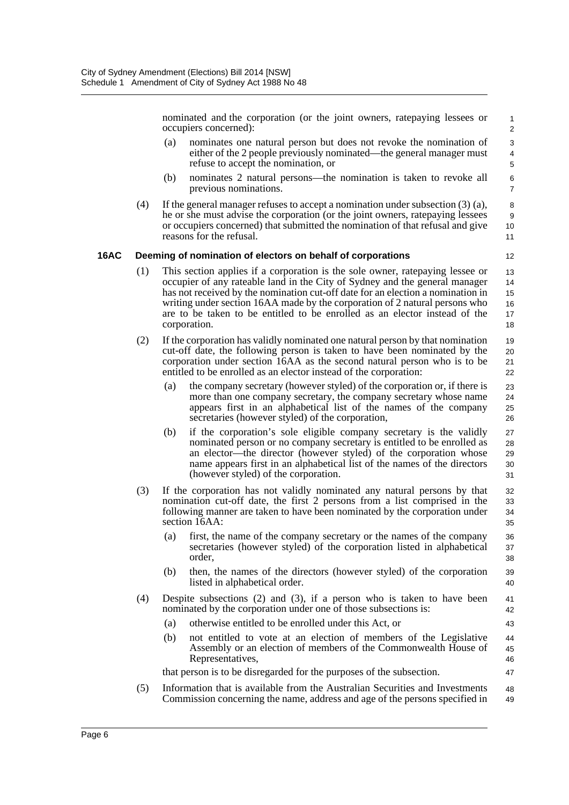nominated and the corporation (or the joint owners, ratepaying lessees or occupiers concerned):

12

43

47

- (a) nominates one natural person but does not revoke the nomination of either of the 2 people previously nominated—the general manager must refuse to accept the nomination, or
- (b) nominates 2 natural persons—the nomination is taken to revoke all previous nominations.
- (4) If the general manager refuses to accept a nomination under subsection (3) (a), he or she must advise the corporation (or the joint owners, ratepaying lessees or occupiers concerned) that submitted the nomination of that refusal and give reasons for the refusal. 10 11

#### **16AC Deeming of nomination of electors on behalf of corporations**

- (1) This section applies if a corporation is the sole owner, ratepaying lessee or occupier of any rateable land in the City of Sydney and the general manager has not received by the nomination cut-off date for an election a nomination in writing under section 16AA made by the corporation of 2 natural persons who are to be taken to be entitled to be enrolled as an elector instead of the corporation. 13 14 15 16 17 18
- (2) If the corporation has validly nominated one natural person by that nomination cut-off date, the following person is taken to have been nominated by the corporation under section 16AA as the second natural person who is to be entitled to be enrolled as an elector instead of the corporation: 19 20 21 22
	- (a) the company secretary (however styled) of the corporation or, if there is more than one company secretary, the company secretary whose name appears first in an alphabetical list of the names of the company secretaries (however styled) of the corporation, 23 24 25 26
	- (b) if the corporation's sole eligible company secretary is the validly nominated person or no company secretary is entitled to be enrolled as an elector—the director (however styled) of the corporation whose name appears first in an alphabetical list of the names of the directors (however styled) of the corporation. 27 28 29 30 31
- (3) If the corporation has not validly nominated any natural persons by that nomination cut-off date, the first 2 persons from a list comprised in the following manner are taken to have been nominated by the corporation under section 16AA: 32 33 34 35
	- (a) first, the name of the company secretary or the names of the company secretaries (however styled) of the corporation listed in alphabetical order, 36 37 38
	- (b) then, the names of the directors (however styled) of the corporation listed in alphabetical order. 39 40
- (4) Despite subsections (2) and (3), if a person who is taken to have been nominated by the corporation under one of those subsections is: 41 42
	- (a) otherwise entitled to be enrolled under this Act, or
	- (b) not entitled to vote at an election of members of the Legislative Assembly or an election of members of the Commonwealth House of Representatives, 44 45 46

that person is to be disregarded for the purposes of the subsection.

(5) Information that is available from the Australian Securities and Investments Commission concerning the name, address and age of the persons specified in 48 49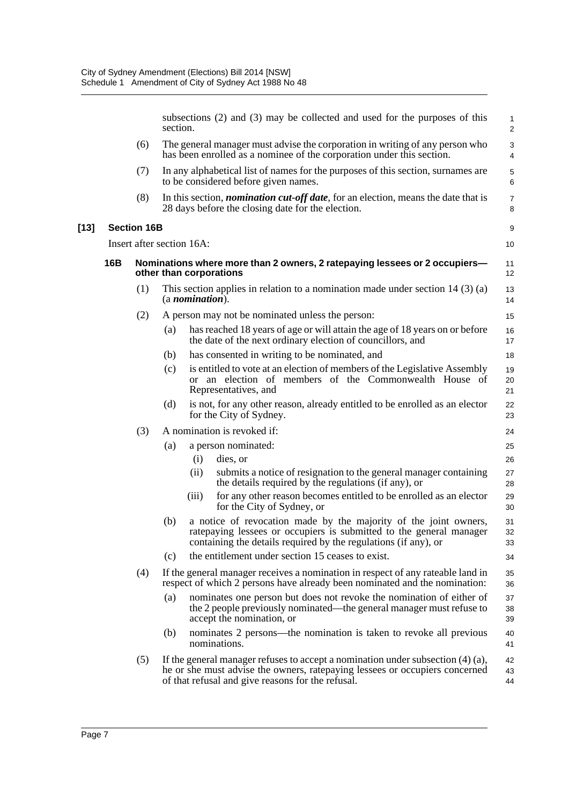|     |                           | section. | subsections (2) and (3) may be collected and used for the purposes of this                                                                                                                                               | $\mathbf{1}$<br>$\overline{2}$ |
|-----|---------------------------|----------|--------------------------------------------------------------------------------------------------------------------------------------------------------------------------------------------------------------------------|--------------------------------|
|     | (6)                       |          | The general manager must advise the corporation in writing of any person who<br>has been enrolled as a nominee of the corporation under this section.                                                                    | 3<br>4                         |
|     | (7)                       |          | In any alphabetical list of names for the purposes of this section, surnames are<br>to be considered before given names.                                                                                                 | $\mathbf 5$<br>6               |
|     | (8)                       |          | In this section, <i>nomination cut-off date</i> , for an election, means the date that is<br>28 days before the closing date for the election.                                                                           | $\overline{7}$<br>8            |
|     | <b>Section 16B</b>        |          |                                                                                                                                                                                                                          | 9                              |
|     | Insert after section 16A: |          |                                                                                                                                                                                                                          | 10                             |
| 16B |                           |          | Nominations where more than 2 owners, 2 ratepaying lessees or 2 occupiers-<br>other than corporations                                                                                                                    | 11<br>$12 \overline{ }$        |
|     | (1)                       |          | This section applies in relation to a nomination made under section $14(3)(a)$<br>$(a$ <i>nomination</i> $).$                                                                                                            | 13<br>14                       |
|     | (2)                       |          | A person may not be nominated unless the person:                                                                                                                                                                         | 15                             |
|     |                           | (a)      | has reached 18 years of age or will attain the age of 18 years on or before<br>the date of the next ordinary election of councillors, and                                                                                | 16<br>17                       |
|     |                           | (b)      | has consented in writing to be nominated, and                                                                                                                                                                            | 18                             |
|     |                           | (c)      | is entitled to vote at an election of members of the Legislative Assembly<br>or an election of members of the Commonwealth House of<br>Representatives, and                                                              | 19<br>20<br>21                 |
|     |                           | (d)      | is not, for any other reason, already entitled to be enrolled as an elector<br>for the City of Sydney.                                                                                                                   | 22<br>23                       |
|     | (3)                       |          | A nomination is revoked if:                                                                                                                                                                                              | 24                             |
|     |                           | (a)      | a person nominated:                                                                                                                                                                                                      | 25                             |
|     |                           |          | (i)<br>dies, or                                                                                                                                                                                                          | 26                             |
|     |                           |          | submits a notice of resignation to the general manager containing<br>(ii)<br>the details required by the regulations (if any), or                                                                                        | 27<br>28                       |
|     |                           |          | for any other reason becomes entitled to be enrolled as an elector<br>(iii)<br>for the City of Sydney, or                                                                                                                | 29<br>30                       |
|     |                           | (b)      | a notice of revocation made by the majority of the joint owners,<br>ratepaying lessees or occupiers is submitted to the general manager<br>containing the details required by the regulations (if any), or               | 31<br>32<br>33                 |
|     |                           | (c)      | the entitlement under section 15 ceases to exist.                                                                                                                                                                        | 34                             |
|     | (4)                       |          | If the general manager receives a nomination in respect of any rateable land in<br>respect of which 2 persons have already been nominated and the nomination:                                                            | 35<br>36                       |
|     |                           | (a)      | nominates one person but does not revoke the nomination of either of<br>the 2 people previously nominated—the general manager must refuse to<br>accept the nomination, or                                                | 37<br>38<br>39                 |
|     |                           | (b)      | nominates 2 persons—the nomination is taken to revoke all previous<br>nominations.                                                                                                                                       | 40<br>41                       |
|     | (5)                       |          | If the general manager refuses to accept a nomination under subsection $(4)$ $(a)$ ,<br>he or she must advise the owners, ratepaying lessees or occupiers concerned<br>of that refusal and give reasons for the refusal. | 42<br>43<br>44                 |

 $[13]$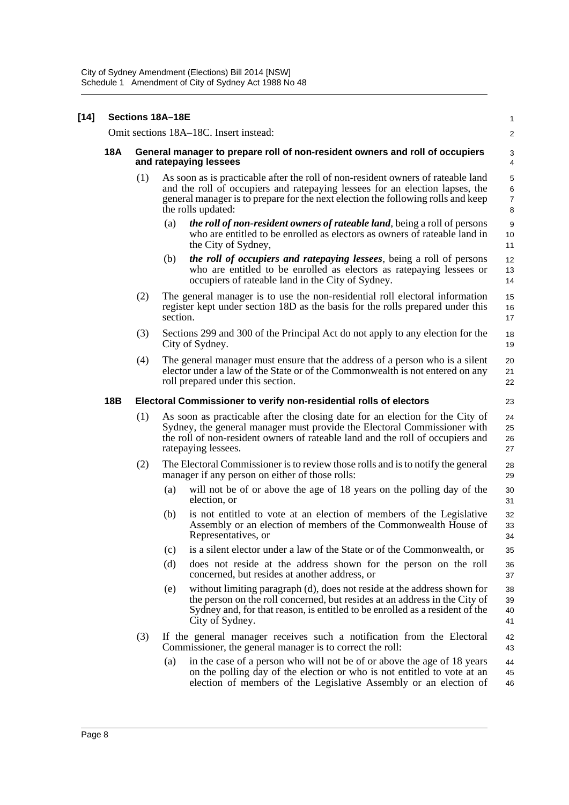| $[14]$ | Sections 18A-18E |                                                                                                        |                                                                                                                                                                                                                                                                            |                                     |  |  |
|--------|------------------|--------------------------------------------------------------------------------------------------------|----------------------------------------------------------------------------------------------------------------------------------------------------------------------------------------------------------------------------------------------------------------------------|-------------------------------------|--|--|
|        |                  | Omit sections 18A-18C. Insert instead:                                                                 |                                                                                                                                                                                                                                                                            |                                     |  |  |
|        | <b>18A</b>       | General manager to prepare roll of non-resident owners and roll of occupiers<br>and ratepaying lessees |                                                                                                                                                                                                                                                                            |                                     |  |  |
|        |                  | (1)                                                                                                    | As soon as is practicable after the roll of non-resident owners of rateable land<br>and the roll of occupiers and ratepaying lessees for an election lapses, the<br>general manager is to prepare for the next election the following rolls and keep<br>the rolls updated: | 5<br>$\,6\,$<br>$\overline{7}$<br>8 |  |  |
|        |                  |                                                                                                        | <i>the roll of non-resident owners of rateable land, being a roll of persons</i><br>(a)<br>who are entitled to be enrolled as electors as owners of rateable land in<br>the City of Sydney,                                                                                | $\boldsymbol{9}$<br>10<br>11        |  |  |
|        |                  |                                                                                                        | <i>the roll of occupiers and ratepaying lessees, being a roll of persons</i><br>(b)<br>who are entitled to be enrolled as electors as ratepaying lessees or<br>occupiers of rateable land in the City of Sydney.                                                           | 12<br>13<br>14                      |  |  |
|        |                  | (2)                                                                                                    | The general manager is to use the non-residential roll electoral information<br>register kept under section 18D as the basis for the rolls prepared under this<br>section.                                                                                                 | 15<br>16<br>17                      |  |  |
|        |                  | (3)                                                                                                    | Sections 299 and 300 of the Principal Act do not apply to any election for the<br>City of Sydney.                                                                                                                                                                          | 18<br>19                            |  |  |
|        |                  | (4)                                                                                                    | The general manager must ensure that the address of a person who is a silent<br>elector under a law of the State or of the Commonwealth is not entered on any<br>roll prepared under this section.                                                                         | 20<br>21<br>22                      |  |  |
|        | 18B              |                                                                                                        | Electoral Commissioner to verify non-residential rolls of electors                                                                                                                                                                                                         | 23                                  |  |  |
|        |                  | (1)                                                                                                    | As soon as practicable after the closing date for an election for the City of<br>Sydney, the general manager must provide the Electoral Commissioner with<br>the roll of non-resident owners of rateable land and the roll of occupiers and<br>rate paying lessees.        | 24<br>25<br>26<br>27                |  |  |
|        |                  | (2)                                                                                                    | The Electoral Commissioner is to review those rolls and is to notify the general<br>manager if any person on either of those rolls:                                                                                                                                        | 28<br>29                            |  |  |
|        |                  |                                                                                                        | will not be of or above the age of 18 years on the polling day of the<br>(a)<br>election, or                                                                                                                                                                               | 30<br>31                            |  |  |
|        |                  |                                                                                                        | is not entitled to vote at an election of members of the Legislative<br>(b)<br>Assembly or an election of members of the Commonwealth House of<br>Representatives, or                                                                                                      | 32<br>33<br>34                      |  |  |
|        |                  |                                                                                                        | is a silent elector under a law of the State or of the Commonwealth, or<br>(c)                                                                                                                                                                                             | 35                                  |  |  |
|        |                  |                                                                                                        | (d)<br>does not reside at the address shown for the person on the roll<br>concerned, but resides at another address, or                                                                                                                                                    | 36<br>37                            |  |  |
|        |                  |                                                                                                        | without limiting paragraph (d), does not reside at the address shown for<br>(e)<br>the person on the roll concerned, but resides at an address in the City of<br>Sydney and, for that reason, is entitled to be enrolled as a resident of the<br>City of Sydney.           | 38<br>39<br>40<br>41                |  |  |
|        |                  | (3)                                                                                                    | If the general manager receives such a notification from the Electoral<br>Commissioner, the general manager is to correct the roll:                                                                                                                                        | 42<br>43                            |  |  |
|        |                  |                                                                                                        | in the case of a person who will not be of or above the age of 18 years<br>(a)<br>on the polling day of the election or who is not entitled to vote at an<br>election of members of the Legislative Assembly or an election of                                             | 44<br>45<br>46                      |  |  |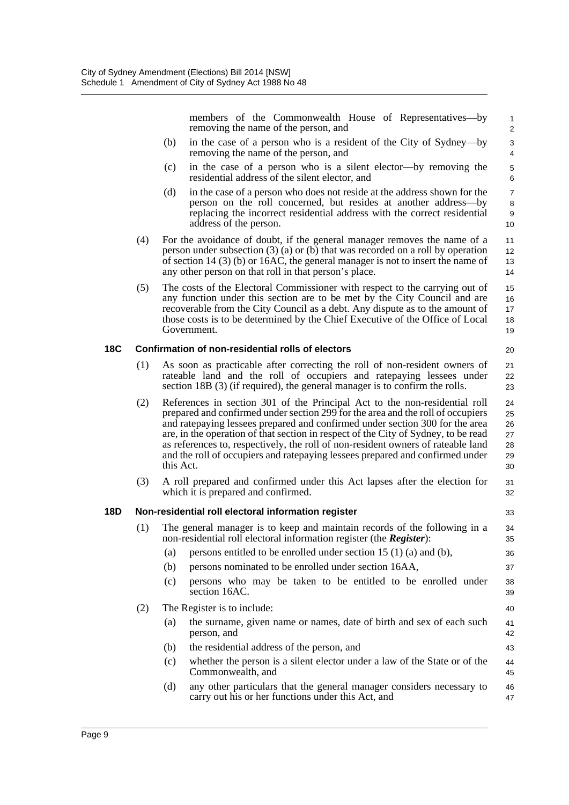members of the Commonwealth House of Representatives—by removing the name of the person, and

33

36 37

40

43

- (b) in the case of a person who is a resident of the City of Sydney—by removing the name of the person, and
- (c) in the case of a person who is a silent elector—by removing the residential address of the silent elector, and
- (d) in the case of a person who does not reside at the address shown for the person on the roll concerned, but resides at another address—by replacing the incorrect residential address with the correct residential address of the person.
- (4) For the avoidance of doubt, if the general manager removes the name of a person under subsection (3) (a) or (b) that was recorded on a roll by operation of section 14 (3) (b) or 16AC, the general manager is not to insert the name of any other person on that roll in that person's place.
- (5) The costs of the Electoral Commissioner with respect to the carrying out of any function under this section are to be met by the City Council and are recoverable from the City Council as a debt. Any dispute as to the amount of those costs is to be determined by the Chief Executive of the Office of Local Government. 15 16 17 18 19

#### **18C Confirmation of non-residential rolls of electors**

- (1) As soon as practicable after correcting the roll of non-resident owners of rateable land and the roll of occupiers and ratepaying lessees under section 18B (3) (if required), the general manager is to confirm the rolls.
- (2) References in section 301 of the Principal Act to the non-residential roll prepared and confirmed under section 299 for the area and the roll of occupiers and ratepaying lessees prepared and confirmed under section 300 for the area are, in the operation of that section in respect of the City of Sydney, to be read as references to, respectively, the roll of non-resident owners of rateable land and the roll of occupiers and ratepaying lessees prepared and confirmed under this Act. 24 25 26 27 28 29 30
- (3) A roll prepared and confirmed under this Act lapses after the election for which it is prepared and confirmed. 31 32

#### **18D Non-residential roll electoral information register**

- (1) The general manager is to keep and maintain records of the following in a non-residential roll electoral information register (the *Register*): 34 35
	- (a) persons entitled to be enrolled under section 15  $(1)$  (a) and (b),
	- (b) persons nominated to be enrolled under section 16AA,
	- (c) persons who may be taken to be entitled to be enrolled under section 16AC. 38 39

#### (2) The Register is to include:

- (a) the surname, given name or names, date of birth and sex of each such person, and 41 42
- (b) the residential address of the person, and
- (c) whether the person is a silent elector under a law of the State or of the Commonwealth, and 44 45
- (d) any other particulars that the general manager considers necessary to carry out his or her functions under this Act, and 46 47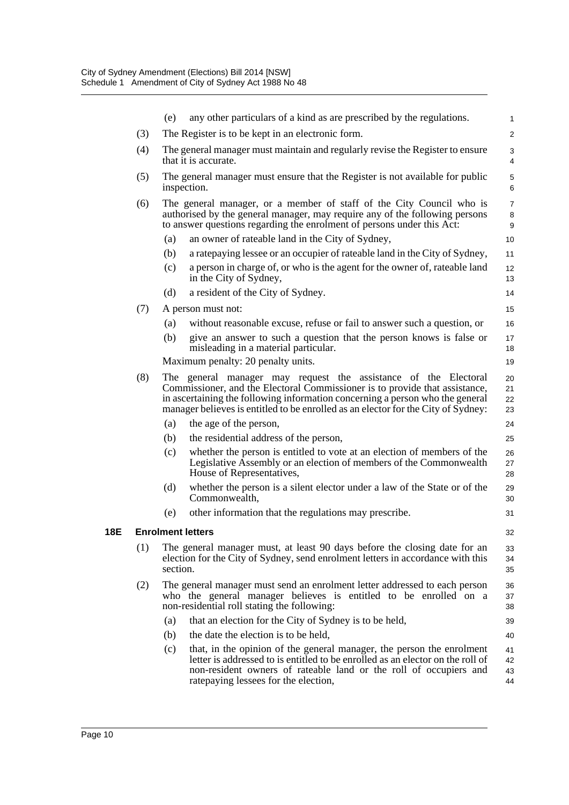|     |     | (e)      | any other particulars of a kind as are prescribed by the regulations.                                                                                                                                                                                                                                                | $\mathbf{1}$             |
|-----|-----|----------|----------------------------------------------------------------------------------------------------------------------------------------------------------------------------------------------------------------------------------------------------------------------------------------------------------------------|--------------------------|
|     | (3) |          | The Register is to be kept in an electronic form.                                                                                                                                                                                                                                                                    | $\overline{2}$           |
|     | (4) |          | The general manager must maintain and regularly revise the Register to ensure<br>that it is accurate.                                                                                                                                                                                                                | 3<br>4                   |
|     | (5) |          | The general manager must ensure that the Register is not available for public<br>inspection.                                                                                                                                                                                                                         | $\mathbf 5$<br>6         |
|     | (6) |          | The general manager, or a member of staff of the City Council who is<br>authorised by the general manager, may require any of the following persons<br>to answer questions regarding the enrolment of persons under this Act:                                                                                        | $\overline{7}$<br>8<br>9 |
|     |     | (a)      | an owner of rateable land in the City of Sydney,                                                                                                                                                                                                                                                                     | 10                       |
|     |     | (b)      | a rate paying lessee or an occupier of rateable land in the City of Sydney,                                                                                                                                                                                                                                          | 11                       |
|     |     | (c)      | a person in charge of, or who is the agent for the owner of, rateable land<br>in the City of Sydney,                                                                                                                                                                                                                 | 12<br>13                 |
|     |     | (d)      | a resident of the City of Sydney.                                                                                                                                                                                                                                                                                    | 14                       |
|     | (7) |          | A person must not:                                                                                                                                                                                                                                                                                                   | 15                       |
|     |     | (a)      | without reasonable excuse, refuse or fail to answer such a question, or                                                                                                                                                                                                                                              | 16                       |
|     |     | (b)      | give an answer to such a question that the person knows is false or<br>misleading in a material particular.                                                                                                                                                                                                          | 17<br>18                 |
|     |     |          | Maximum penalty: 20 penalty units.                                                                                                                                                                                                                                                                                   | 19                       |
|     | (8) |          | The general manager may request the assistance of the Electoral<br>Commissioner, and the Electoral Commissioner is to provide that assistance,<br>in ascertaining the following information concerning a person who the general<br>manager believes is entitled to be enrolled as an elector for the City of Sydney: | 20<br>21<br>22<br>23     |
|     |     | (a)      | the age of the person,                                                                                                                                                                                                                                                                                               | 24                       |
|     |     | (b)      | the residential address of the person,                                                                                                                                                                                                                                                                               | 25                       |
|     |     | (c)      | whether the person is entitled to vote at an election of members of the<br>Legislative Assembly or an election of members of the Commonwealth<br>House of Representatives,                                                                                                                                           | 26<br>27<br>28           |
|     |     | (d)      | whether the person is a silent elector under a law of the State or of the<br>Commonwealth,                                                                                                                                                                                                                           | 29<br>30                 |
|     |     | (e)      | other information that the regulations may prescribe.                                                                                                                                                                                                                                                                | 31                       |
| 18E |     |          | <b>Enrolment letters</b>                                                                                                                                                                                                                                                                                             | 32                       |
|     | (1) | section. | The general manager must, at least 90 days before the closing date for an<br>election for the City of Sydney, send enrolment letters in accordance with this                                                                                                                                                         | 33<br>34<br>35           |
|     | (2) |          | The general manager must send an enrolment letter addressed to each person<br>who the general manager believes is entitled to be enrolled on a<br>non-residential roll stating the following:                                                                                                                        | 36<br>37<br>38           |
|     |     | (a)      | that an election for the City of Sydney is to be held,                                                                                                                                                                                                                                                               | 39                       |
|     |     | (b)      | the date the election is to be held,                                                                                                                                                                                                                                                                                 | 40                       |
|     |     | (c)      | that, in the opinion of the general manager, the person the enrolment<br>letter is addressed to is entitled to be enrolled as an elector on the roll of<br>non-resident owners of rateable land or the roll of occupiers and<br>ratepaying lessees for the election,                                                 | 41<br>42<br>43<br>44     |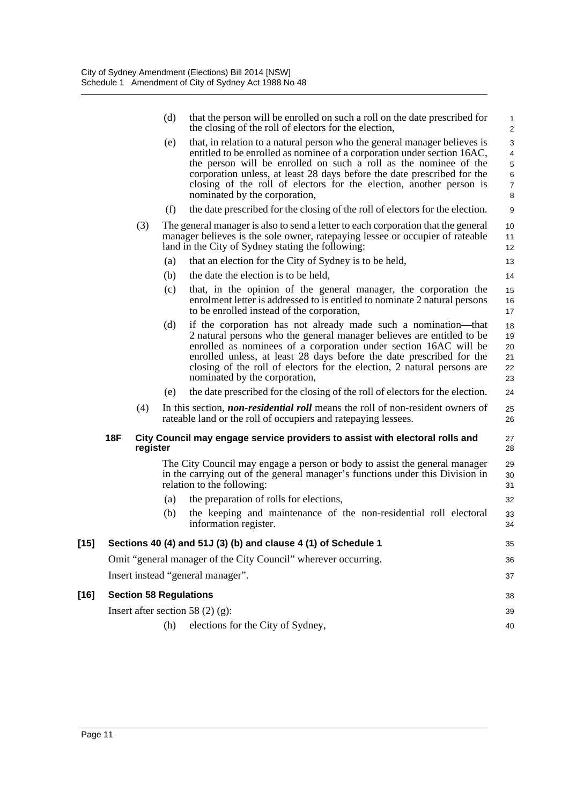|        |            |          | (d) | that the person will be enrolled on such a roll on the date prescribed for<br>the closing of the roll of electors for the election,                                                                                                                                                                                                                                                                         | 1<br>$\overline{\mathbf{c}}$                              |
|--------|------------|----------|-----|-------------------------------------------------------------------------------------------------------------------------------------------------------------------------------------------------------------------------------------------------------------------------------------------------------------------------------------------------------------------------------------------------------------|-----------------------------------------------------------|
|        |            |          | (e) | that, in relation to a natural person who the general manager believes is<br>entitled to be enrolled as nominee of a corporation under section 16AC,<br>the person will be enrolled on such a roll as the nominee of the<br>corporation unless, at least 28 days before the date prescribed for the<br>closing of the roll of electors for the election, another person is<br>nominated by the corporation, | 3<br>4<br>5<br>$\begin{array}{c} 6 \\ 7 \end{array}$<br>8 |
|        |            |          | (f) | the date prescribed for the closing of the roll of electors for the election.                                                                                                                                                                                                                                                                                                                               | 9                                                         |
|        |            | (3)      |     | The general manager is also to send a letter to each corporation that the general<br>manager believes is the sole owner, ratepaying lessee or occupier of rateable<br>land in the City of Sydney stating the following:                                                                                                                                                                                     | 10<br>11<br>12                                            |
|        |            |          | (a) | that an election for the City of Sydney is to be held,                                                                                                                                                                                                                                                                                                                                                      | 13                                                        |
|        |            |          | (b) | the date the election is to be held,                                                                                                                                                                                                                                                                                                                                                                        | 14                                                        |
|        |            |          | (c) | that, in the opinion of the general manager, the corporation the<br>enrolment letter is addressed to is entitled to nominate 2 natural persons<br>to be enrolled instead of the corporation,                                                                                                                                                                                                                | 15<br>16<br>17                                            |
|        |            |          | (d) | if the corporation has not already made such a nomination—that<br>2 natural persons who the general manager believes are entitled to be<br>enrolled as nominees of a corporation under section 16AC will be<br>enrolled unless, at least 28 days before the date prescribed for the<br>closing of the roll of electors for the election, 2 natural persons are<br>nominated by the corporation,             | 18<br>19<br>20<br>21<br>22<br>23                          |
|        |            |          | (e) | the date prescribed for the closing of the roll of electors for the election.                                                                                                                                                                                                                                                                                                                               | 24                                                        |
|        |            | (4)      |     | In this section, <i>non-residential roll</i> means the roll of non-resident owners of<br>rateable land or the roll of occupiers and rate paying lessees.                                                                                                                                                                                                                                                    | 25<br>26                                                  |
|        | <b>18F</b> | register |     | City Council may engage service providers to assist with electoral rolls and                                                                                                                                                                                                                                                                                                                                | 27<br>28                                                  |
|        |            |          |     | The City Council may engage a person or body to assist the general manager<br>in the carrying out of the general manager's functions under this Division in<br>relation to the following:                                                                                                                                                                                                                   | 29<br>30<br>31                                            |
|        |            |          | (a) | the preparation of rolls for elections,                                                                                                                                                                                                                                                                                                                                                                     | 32                                                        |
|        |            |          | (b) | the keeping and maintenance of the non-residential roll electoral<br>information register.                                                                                                                                                                                                                                                                                                                  | 33<br>34                                                  |
| $[15]$ |            |          |     | Sections 40 (4) and 51J (3) (b) and clause 4 (1) of Schedule 1                                                                                                                                                                                                                                                                                                                                              | 35                                                        |
|        |            |          |     | Omit "general manager of the City Council" wherever occurring.                                                                                                                                                                                                                                                                                                                                              | 36                                                        |
|        |            |          |     | Insert instead "general manager".                                                                                                                                                                                                                                                                                                                                                                           | 37                                                        |
| $[16]$ |            |          |     | <b>Section 58 Regulations</b>                                                                                                                                                                                                                                                                                                                                                                               | 38                                                        |
|        |            |          |     | Insert after section 58 $(2)$ (g):                                                                                                                                                                                                                                                                                                                                                                          | 39                                                        |
|        |            |          | (h) | elections for the City of Sydney,                                                                                                                                                                                                                                                                                                                                                                           | 40                                                        |
|        |            |          |     |                                                                                                                                                                                                                                                                                                                                                                                                             |                                                           |